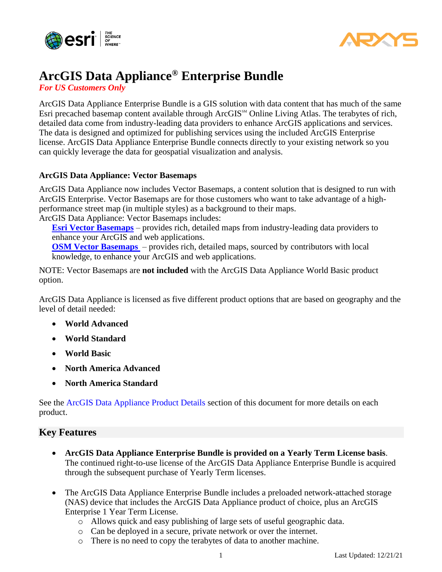



# **ArcGIS Data Appliance® Enterprise Bundle**

*For US Customers Only*

ArcGIS Data Appliance Enterprise Bundle is a GIS solution with data content that has much of the same Esri precached basemap content available through ArcGIS<sup>SM</sup> Online Living Atlas. The terabytes of rich, detailed data come from industry-leading data providers to enhance ArcGIS applications and services. The data is designed and optimized for publishing services using the included ArcGIS Enterprise license. ArcGIS Data Appliance Enterprise Bundle connects directly to your existing network so you can quickly leverage the data for geospatial visualization and analysis.

#### **ArcGIS Data Appliance: Vector Basemaps**

ArcGIS Data Appliance now includes Vector Basemaps, a content solution that is designed to run with ArcGIS Enterprise. Vector Basemaps are for those customers who want to take advantage of a highperformance street map (in multiple styles) as a background to their maps.

ArcGIS Data Appliance: Vector Basemaps includes:

**[Esri Vector Basemaps](https://doc.arcgis.com/en/data-appliance/2022/vector-basemaps/what-is-vector-basemaps.htm)** – provides rich, detailed maps from industry-leading data providers to enhance your ArcGIS and web applications.

**[OSM Vector Basemaps](https://doc.arcgis.com/en/data-appliance/2022/osm-vector-basemaps/what-is-osm-vector-basemaps.htm)** – provides rich, detailed maps, sourced by contributors with local knowledge, to enhance your ArcGIS and web applications.

NOTE: Vector Basemaps are **not included** with the ArcGIS Data Appliance World Basic product option.

ArcGIS Data Appliance is licensed as five different product options that are based on geography and the level of detail needed:

- **World Advanced**
- **World Standard**
- **World Basic**
- **North America Advanced**
- **North America Standard**

See the [ArcGIS Data Appliance Product Details](#page-3-0) section of this document for more details on each product.

## **Key Features**

- **ArcGIS Data Appliance Enterprise Bundle is provided on a Yearly Term License basis**. The continued right-to-use license of the ArcGIS Data Appliance Enterprise Bundle is acquired through the subsequent purchase of Yearly Term licenses.
- The ArcGIS Data Appliance Enterprise Bundle includes a preloaded network-attached storage (NAS) device that includes the ArcGIS Data Appliance product of choice, plus an ArcGIS Enterprise 1 Year Term License.
	- o Allows quick and easy publishing of large sets of useful geographic data.
	- o Can be deployed in a secure, private network or over the internet.
	- o There is no need to copy the terabytes of data to another machine.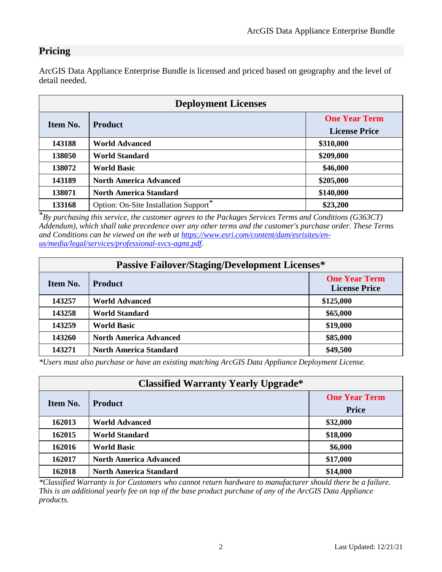# **Pricing**

ArcGIS Data Appliance Enterprise Bundle is licensed and priced based on geography and the level of detail needed.

| <b>Deployment Licenses</b> |                                       |                                              |  |  |  |  |
|----------------------------|---------------------------------------|----------------------------------------------|--|--|--|--|
| Item No.                   | <b>Product</b>                        | <b>One Year Term</b><br><b>License Price</b> |  |  |  |  |
| 143188                     | <b>World Advanced</b>                 | \$310,000                                    |  |  |  |  |
| 138050                     | <b>World Standard</b>                 | \$209,000                                    |  |  |  |  |
| 138072                     | <b>World Basic</b>                    | \$46,000                                     |  |  |  |  |
| 143189                     | <b>North America Advanced</b>         | \$205,000                                    |  |  |  |  |
| 138071                     | <b>North America Standard</b>         | \$140,000                                    |  |  |  |  |
| 133168                     | Option: On-Site Installation Support* | \$23,200                                     |  |  |  |  |

\**By purchasing this service, the customer agrees to the Packages Services Terms and Conditions (G363CT) Addendum), which shall take precedence over any other terms and the customer's purchase order. These Terms and Conditions can be viewed on the web at [https://www.esri.com/content/dam/esrisites/en](https://www.esri.com/content/dam/esrisites/en-us/media/legal/services/professional-svcs-agmt.pdf)[us/media/legal/services/professional-svcs-agmt.pdf.](https://www.esri.com/content/dam/esrisites/en-us/media/legal/services/professional-svcs-agmt.pdf)*

| <b>Passive Failover/Staging/Development Licenses*</b> |                               |                                              |  |  |  |  |
|-------------------------------------------------------|-------------------------------|----------------------------------------------|--|--|--|--|
| Item No.                                              | <b>Product</b>                | <b>One Year Term</b><br><b>License Price</b> |  |  |  |  |
| 143257                                                | <b>World Advanced</b>         | \$125,000                                    |  |  |  |  |
| 143258                                                | <b>World Standard</b>         | \$65,000                                     |  |  |  |  |
| 143259                                                | <b>World Basic</b>            | \$19,000                                     |  |  |  |  |
| 143260                                                | <b>North America Advanced</b> | \$85,000                                     |  |  |  |  |
| 143271                                                | <b>North America Standard</b> | \$49,500                                     |  |  |  |  |

*\*Users must also purchase or have an existing matching ArcGIS Data Appliance Deployment License.*

| <b>Classified Warranty Yearly Upgrade*</b> |                               |                                      |  |  |  |  |
|--------------------------------------------|-------------------------------|--------------------------------------|--|--|--|--|
| Item No.                                   | <b>Product</b>                | <b>One Year Term</b><br><b>Price</b> |  |  |  |  |
| 162013                                     | <b>World Advanced</b>         | \$32,000                             |  |  |  |  |
| 162015                                     | <b>World Standard</b>         | \$18,000                             |  |  |  |  |
| 162016                                     | <b>World Basic</b>            | \$6,000                              |  |  |  |  |
| 162017                                     | <b>North America Advanced</b> | \$17,000                             |  |  |  |  |
| 162018                                     | <b>North America Standard</b> | \$14,000                             |  |  |  |  |

*\*Classified Warranty is for Customers who cannot return hardware to manufacturer should there be a failure. This is an additional yearly fee on top of the base product purchase of any of the ArcGIS Data Appliance products.*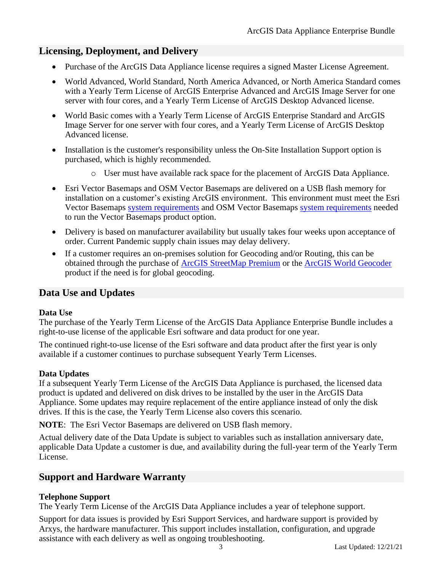## **Licensing, Deployment, and Delivery**

- Purchase of the ArcGIS Data Appliance license requires a signed Master License Agreement.
- World Advanced, World Standard, North America Advanced, or North America Standard comes with a Yearly Term License of ArcGIS Enterprise Advanced and ArcGIS Image Server for one server with four cores, and a Yearly Term License of ArcGIS Desktop Advanced license.
- World Basic comes with a Yearly Term License of ArcGIS Enterprise Standard and ArcGIS Image Server for one server with four cores, and a Yearly Term License of ArcGIS Desktop Advanced license.
- Installation is the customer's responsibility unless the On-Site Installation Support option is purchased, which is highly recommended.
	- o User must have available rack space for the placement of ArcGIS Data Appliance.
- Esri Vector Basemaps and OSM Vector Basemaps are delivered on a USB flash memory for installation on a customer's existing ArcGIS environment. This environment must meet the Esri Vector Basemaps [system requirements](https://doc.arcgis.com/en/data-appliance/2022/vector-basemaps/vb-system-reqs.htm) and OSM Vector Basemaps [system requirements](https://doc.arcgis.com/en/data-appliance/2022/osm-vector-basemaps/osm-vb-system-reqs.htm) needed to run the Vector Basemaps product option.
- Delivery is based on manufacturer availability but usually takes four weeks upon acceptance of order. Current Pandemic supply chain issues may delay delivery.
- If a customer requires an on-premises solution for Geocoding and/or Routing, this can be obtained through the purchase of [ArcGIS StreetMap](https://www.esri.com/en-us/arcgis/products/arcgis-streetmap-premium/overview) Premium or the [ArcGIS World Geocoder](https://www.esri.com/en-us/arcgis/products/arcgis-world-geocoder) product if the need is for global geocoding.

## **Data Use and Updates**

#### **Data Use**

The purchase of the Yearly Term License of the ArcGIS Data Appliance Enterprise Bundle includes a right-to-use license of the applicable Esri software and data product for one year.

The continued right-to-use license of the Esri software and data product after the first year is only available if a customer continues to purchase subsequent Yearly Term Licenses.

## **Data Updates**

If a subsequent Yearly Term License of the ArcGIS Data Appliance is purchased, the licensed data product is updated and delivered on disk drives to be installed by the user in the ArcGIS Data Appliance. Some updates may require replacement of the entire appliance instead of only the disk drives. If this is the case, the Yearly Term License also covers this scenario.

**NOTE**: The Esri Vector Basemaps are delivered on USB flash memory.

Actual delivery date of the Data Update is subject to variables such as installation anniversary date, applicable Data Update a customer is due, and availability during the full-year term of the Yearly Term License.

## **Support and Hardware Warranty**

## **Telephone Support**

The Yearly Term License of the ArcGIS Data Appliance includes a year of telephone support.

Support for data issues is provided by Esri Support Services, and hardware support is provided by Arxys, the hardware manufacturer. This support includes installation, configuration, and upgrade assistance with each delivery as well as ongoing troubleshooting.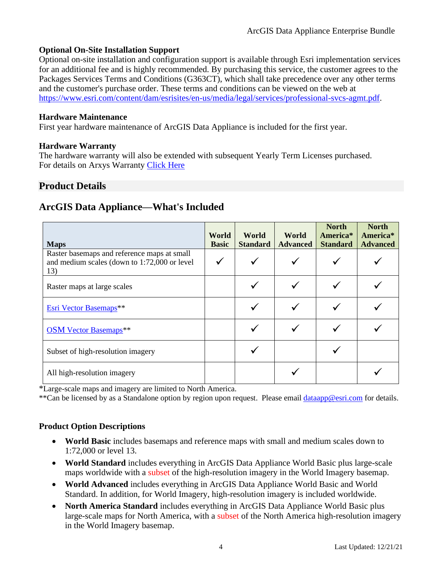#### **Optional On-Site Installation Support**

Optional on-site installation and configuration support is available through Esri implementation services for an additional fee and is highly recommended. By purchasing this service, the customer agrees to the Packages Services Terms and Conditions (G363CT), which shall take precedence over any other terms and the customer's purchase order. These terms and conditions can be viewed on the web at [https://www.esri.com/content/dam/esrisites/en-us/media/legal/services/professional-svcs-agmt.pdf.](https://www.esri.com/content/dam/esrisites/en-us/media/legal/services/professional-svcs-agmt.pdf)

#### **Hardware Maintenance**

First year hardware maintenance of ArcGIS Data Appliance is included for the first year.

#### **Hardware Warranty**

The hardware warranty will also be extended with subsequent Yearly Term Licenses purchased. For details on Arxys Warranty [Click](http://www.esri.com/~/media/Files/Pdfs/partners/hardware/ArxysDomesticWarranty) Here

# <span id="page-3-0"></span>**Product Details**

## **ArcGIS Data Appliance—What's Included**

| <b>Maps</b>                                                                                        | World<br><b>Basic</b> | World<br><b>Standard</b> | World<br><b>Advanced</b> | <b>North</b><br>America <sup>*</sup><br><b>Standard</b> | <b>North</b><br>America*<br><b>Advanced</b> |
|----------------------------------------------------------------------------------------------------|-----------------------|--------------------------|--------------------------|---------------------------------------------------------|---------------------------------------------|
| Raster basemaps and reference maps at small<br>and medium scales (down to 1:72,000 or level<br>13) |                       |                          |                          |                                                         |                                             |
| Raster maps at large scales                                                                        |                       |                          |                          |                                                         |                                             |
| Esri Vector Basemaps**                                                                             |                       |                          |                          |                                                         |                                             |
| <b>OSM Vector Basemaps**</b>                                                                       |                       |                          |                          |                                                         |                                             |
| Subset of high-resolution imagery                                                                  |                       |                          |                          |                                                         |                                             |
| All high-resolution imagery                                                                        |                       |                          |                          |                                                         |                                             |

\*Large-scale maps and imagery are limited to North America.

\*\*Can be licensed by as a Standalone option by region upon request. Please email [dataapp@esri.com](mailto:dataapp@esri.com) for details.

## **Product Option Descriptions**

- **World Basic** includes basemaps and reference maps with small and medium scales down to 1:72,000 or level 13.
- **World Standard** includes everything in ArcGIS Data Appliance World Basic plus large-scale maps worldwide with a subset of the high-resolution imagery in the World Imagery basemap.
- **World Advanced** includes everything in ArcGIS Data Appliance World Basic and World Standard. In addition, for World Imagery, high-resolution imagery is included worldwide.
- **North America Standard** includes everything in ArcGIS Data Appliance World Basic plus large-scale maps for North America, with a subset of the North America high-resolution imagery in the World Imagery basemap.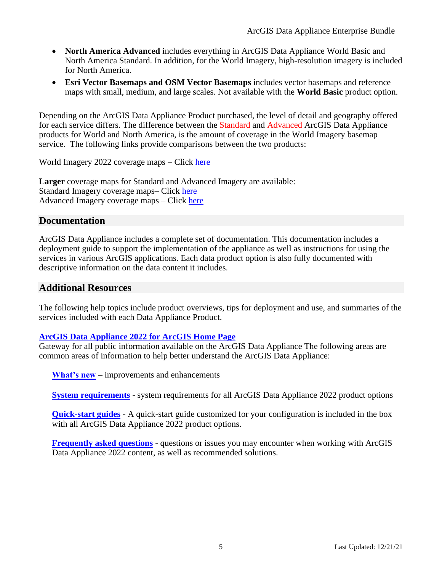- **North America Advanced** includes everything in ArcGIS Data Appliance World Basic and North America Standard. In addition, for the World Imagery, high-resolution imagery is included for North America.
- **Esri Vector Basemaps and OSM Vector Basemaps** includes vector basemaps and reference maps with small, medium, and large scales. Not available with the **World Basic** product option.

Depending on the ArcGIS Data Appliance Product purchased, the level of detail and geography offered for each service differs. The difference between the Standard and Advanced ArcGIS Data Appliance products for World and North America, is the amount of coverage in the World Imagery basemap service. The following links provide comparisons between the two products:

World Imagery 2022 coverage maps – Click [here](https://doc.arcgis.com/en/data-appliance/2022/maps/world-imagery.htm#ESRI_SECTION1_6B8F16B4468D479E9CDAC456C92EBA2E)

**Larger** coverage maps for Standard and Advanced Imagery are available: Standard Imagery coverage maps– Click [here](https://doc.arcgis.com/en/data-appliance/2022/maps/world-imagery.htm#ESRI_SECTION1_85D4919E745147AC8E9E38F61937EAAE) Advanced Imagery coverage maps – Click [here](https://doc.arcgis.com/en/data-appliance/2022/maps/world-imagery.htm#ESRI_SECTION1_59E441FDF95642E0BCA099957087B48D)

## **Documentation**

ArcGIS Data Appliance includes a complete set of documentation. This documentation includes a deployment guide to support the implementation of the appliance as well as instructions for using the services in various ArcGIS applications. Each data product option is also fully documented with descriptive information on the data content it includes.

## **Additional Resources**

The following help topics include product overviews, tips for deployment and use, and summaries of the services included with each Data Appliance Product.

## **[ArcGIS Data Appliance 2022 for ArcGIS Home Page](http://doc.arcgis.com/en/data-appliance/)**

Gateway for all public information available on the ArcGIS Data Appliance The following areas are common areas of information to help better understand the ArcGIS Data Appliance:

**[What's new](https://doc.arcgis.com/en/data-appliance/2022/get-started/whats-new.htm)** – improvements and enhancements

**[System requirements](https://doc.arcgis.com/en/data-appliance/2022/get-started/system-reqs-2022.htm)** - system requirements for all ArcGIS Data Appliance 2022 product options

**[Quick-start guides](https://doc.arcgis.com/en/data-appliance/2022/get-started/quick-start-guides-2022.htm)** - A quick-start guide customized for your configuration is included in the box with all ArcGIS Data Appliance 2022 product options.

**Frequently [asked questions](https://doc.arcgis.com/en/data-appliance/2022/get-started/faq.htm)** - questions or issues you may encounter when working with ArcGIS Data Appliance 2022 content, as well as recommended solutions.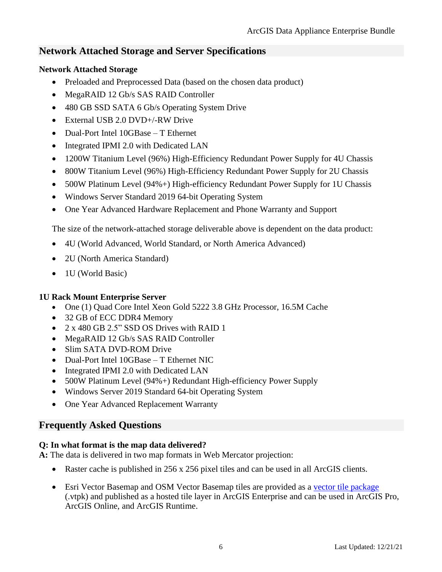# **Network Attached Storage and Server Specifications**

## **Network Attached Storage**

- Preloaded and Preprocessed Data (based on the chosen data product)
- MegaRAID 12 Gb/s SAS RAID Controller
- 480 GB SSD SATA 6 Gb/s Operating System Drive
- External USB 2.0 DVD+/-RW Drive
- Dual-Port Intel 10GBase T Ethernet
- Integrated IPMI 2.0 with Dedicated LAN
- 1200W Titanium Level (96%) High-Efficiency Redundant Power Supply for 4U Chassis
- 800W Titanium Level (96%) High-Efficiency Redundant Power Supply for 2U Chassis
- 500W Platinum Level (94%+) High-efficiency Redundant Power Supply for 1U Chassis
- Windows Server Standard 2019 64-bit Operating System
- One Year Advanced Hardware Replacement and Phone Warranty and Support

The size of the network-attached storage deliverable above is dependent on the data product:

- 4U (World Advanced, World Standard, or North America Advanced)
- 2U (North America Standard)
- 1U (World Basic)

## **1U Rack Mount Enterprise Server**

- One (1) Quad Core Intel Xeon Gold 5222 3.8 GHz Processor, 16.5M Cache
- 32 GB of ECC DDR4 Memory
- 2 x 480 GB 2.5" SSD OS Drives with RAID 1
- MegaRAID 12 Gb/s SAS RAID Controller
- Slim SATA DVD-ROM Drive
- Dual-Port Intel 10GBase T Ethernet NIC
- Integrated IPMI 2.0 with Dedicated LAN
- 500W Platinum Level (94%+) Redundant High-efficiency Power Supply
- Windows Server 2019 Standard 64-bit Operating System
- One Year Advanced Replacement Warranty

# **Frequently Asked Questions**

## **Q: In what format is the map data delivered?**

**A:** The data is delivered in two map formats in Web Mercator projection:

- Raster cache is published in 256 x 256 pixel tiles and can be used in all ArcGIS clients.
- Esri Vector Basemap and OSM Vector Basemap tiles are provided as a [vector tile package](http://pro.arcgis.com/en/pro-app/help/sharing/overview/vector-tile-package.htm) (.vtpk) and published as a hosted tile layer in ArcGIS Enterprise and can be used in ArcGIS Pro, ArcGIS Online, and ArcGIS Runtime.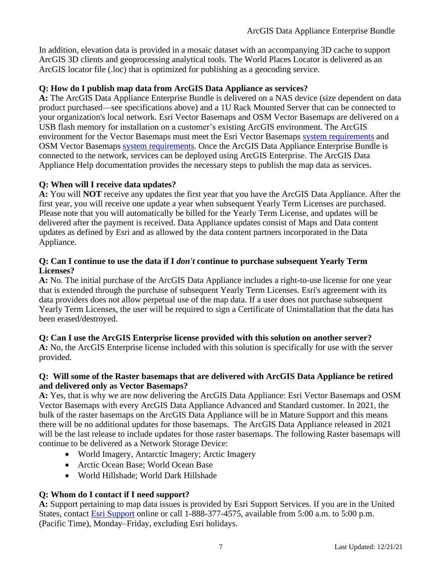In addition, elevation data is provided in a mosaic dataset with an accompanying 3D cache to support ArcGIS 3D clients and geoprocessing analytical tools. The World Places Locator is delivered as an ArcGIS locator file (.loc) that is optimized for publishing as a geocoding service.

#### **Q: How do I publish map data from ArcGIS Data Appliance as services?**

**A:** The ArcGIS Data Appliance Enterprise Bundle is delivered on a NAS device (size dependent on data product purchased—see specifications above) and a 1U Rack Mounted Server that can be connected to your organization's local network. Esri Vector Basemaps and OSM Vector Basemaps are delivered on a USB flash memory for installation on a customer's existing ArcGIS environment. The ArcGIS environment for the Vector Basemaps must meet the Esri Vector Basemaps [system requirements](https://doc.arcgis.com/en/data-appliance/2022/vector-basemaps/vb-system-reqs.htm) and OSM Vector Basemaps [system requirements.](https://doc.arcgis.com/en/data-appliance/2022/osm-vector-basemaps/osm-vb-system-reqs.htm) Once the ArcGIS Data Appliance Enterprise Bundle is connected to the network, services can be deployed using ArcGIS Enterprise. The ArcGIS Data Appliance Help documentation provides the necessary steps to publish the map data as services.

#### **Q: When will I receive data updates?**

**A:** You will **NOT** receive any updates the first year that you have the ArcGIS Data Appliance. After the first year, you will receive one update a year when subsequent Yearly Term Licenses are purchased. Please note that you will automatically be billed for the Yearly Term License, and updates will be delivered after the payment is received. Data Appliance updates consist of Maps and Data content updates as defined by Esri and as allowed by the data content partners incorporated in the Data Appliance.

#### **Q: Can I continue to use the data if I** *don't* **continue to purchase subsequent Yearly Term Licenses?**

**A:** No. The initial purchase of the ArcGIS Data Appliance includes a right-to-use license for one year that is extended through the purchase of subsequent Yearly Term Licenses. Esri's agreement with its data providers does not allow perpetual use of the map data. If a user does not purchase subsequent Yearly Term Licenses, the user will be required to sign a Certificate of Uninstallation that the data has been erased/destroyed.

#### **Q: Can I use the ArcGIS Enterprise license provided with this solution on another server?**

**A:** No, the ArcGIS Enterprise license included with this solution is specifically for use with the server provided.

#### **Q: Will some of the Raster basemaps that are delivered with ArcGIS Data Appliance be retired and delivered only as Vector Basemaps?**

**A:** Yes, that is why we are now delivering the ArcGIS Data Appliance: Esri Vector Basemaps and OSM Vector Basemaps with every ArcGIS Data Appliance Advanced and Standard customer. In 2021, the bulk of the raster basemaps on the ArcGIS Data Appliance will be in Mature Support and this means there will be no additional updates for those basemaps. The ArcGIS Data Appliance released in 2021 will be the last release to include updates for those raster basemaps. The following Raster basemaps will continue to be delivered as a Network Storage Device:

- World Imagery, Antarctic Imagery; Arctic Imagery
- Arctic Ocean Base; World Ocean Base
- World Hillshade; World Dark Hillshade

## **Q: Whom do I contact if I need support?**

**A:** Support pertaining to map data issues is provided by Esri Support Services. If you are in the United States, contact [Esri Support](http://support.esri.com/contact-tech-support) online or call 1-888-377-4575, available from 5:00 a.m. to 5:00 p.m. (Pacific Time), Monday–Friday, excluding Esri holidays.